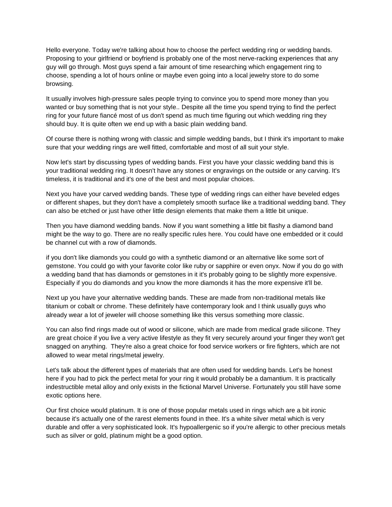Hello everyone. Today we're talking about how to choose the perfect wedding ring or wedding bands. Proposing to your girlfriend or boyfriend is probably one of the most nerve-racking experiences that any guy will go through. Most guys spend a fair amount of time researching which engagement ring to choose, spending a lot of hours online or maybe even going into a local jewelry store to do some browsing.

It usually involves high-pressure sales people trying to convince you to spend more money than you wanted or buy something that is not your style.. Despite all the time you spend trying to find the perfect ring for your future fiancé most of us don't spend as much time figuring out which wedding ring they should buy. It is quite often we end up with a basic plain wedding band.

Of course there is nothing wrong with classic and simple wedding bands, but I think it's important to make sure that your wedding rings are well fitted, comfortable and most of all suit your style.

Now let's start by discussing types of wedding bands. First you have your classic wedding band this is your traditional wedding ring. It doesn't have any stones or engravings on the outside or any carving. It's timeless, it is traditional and it's one of the best and most popular choices.

Next you have your carved wedding bands. These type of wedding rings can either have beveled edges or different shapes, but they don't have a completely smooth surface like a traditional wedding band. They can also be etched or just have other little design elements that make them a little bit unique.

Then you have diamond wedding bands. Now if you want something a little bit flashy a diamond band might be the way to go. There are no really specific rules here. You could have one embedded or it could be channel cut with a row of diamonds.

if you don't like diamonds you could go with a synthetic diamond or an alternative like some sort of gemstone. You could go with your favorite color like ruby or sapphire or even onyx. Now if you do go with a wedding band that has diamonds or gemstones in it it's probably going to be slightly more expensive. Especially if you do diamonds and you know the more diamonds it has the more expensive it'll be.

Next up you have your alternative wedding bands. These are made from non-traditional metals like titanium or cobalt or chrome. These definitely have contemporary look and I think usually guys who already wear a lot of jeweler will choose something like this versus something more classic.

You can also find rings made out of wood or silicone, which are made from medical grade silicone. They are great choice if you live a very active lifestyle as they fit very securely around your finger they won't get snagged on anything. They're also a great choice for food service workers or fire fighters, which are not allowed to wear metal rings/metal jewelry.

Let's talk about the different types of materials that are often used for wedding bands. Let's be honest here if you had to pick the perfect metal for your ring it would probably be a damantium. It is practically indestructible metal alloy and only exists in the fictional Marvel Universe. Fortunately you still have some exotic options here.

Our first choice would platinum. It is one of those popular metals used in rings which are a bit ironic because it's actually one of the rarest elements found in thee. It's a white silver metal which is very durable and offer a very sophisticated look. It's hypoallergenic so if you're allergic to other precious metals such as silver or gold, platinum might be a good option.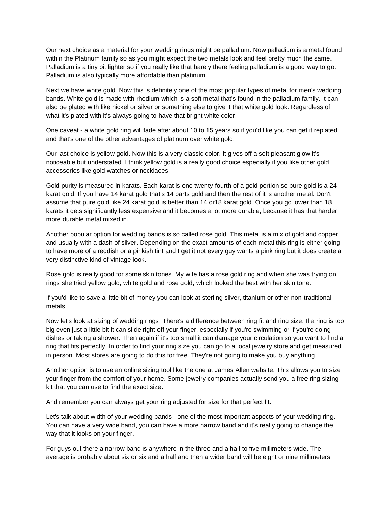Our next choice as a material for your wedding rings might be palladium. Now palladium is a metal found within the Platinum family so as you might expect the two metals look and feel pretty much the same. Palladium is a tiny bit lighter so if you really like that barely there feeling palladium is a good way to go. Palladium is also typically more affordable than platinum.

Next we have white gold. Now this is definitely one of the most popular types of metal for men's wedding bands. White gold is made with rhodium which is a soft metal that's found in the palladium family. It can also be plated with like nickel or silver or something else to give it that white gold look. Regardless of what it's plated with it's always going to have that bright white color.

One caveat - a white gold ring will fade after about 10 to 15 years so if you'd like you can get it replated and that's one of the other advantages of platinum over white gold.

Our last choice is yellow gold. Now this is a very classic color. It gives off a soft pleasant glow it's noticeable but understated. I think yellow gold is a really good choice especially if you like other gold accessories like gold watches or necklaces.

Gold purity is measured in karats. Each karat is one twenty-fourth of a gold portion so pure gold is a 24 karat gold. If you have 14 karat gold that's 14 parts gold and then the rest of it is another metal. Don't assume that pure gold like 24 karat gold is better than 14 or18 karat gold. Once you go lower than 18 karats it gets significantly less expensive and it becomes a lot more durable, because it has that harder more durable metal mixed in.

Another popular option for wedding bands is so called rose gold. This metal is a mix of gold and copper and usually with a dash of silver. Depending on the exact amounts of each metal this ring is either going to have more of a reddish or a pinkish tint and I get it not every guy wants a pink ring but it does create a very distinctive kind of vintage look.

Rose gold is really good for some skin tones. My wife has a rose gold ring and when she was trying on rings she tried yellow gold, white gold and rose gold, which looked the best with her skin tone.

If you'd like to save a little bit of money you can look at sterling silver, titanium or other non-traditional metals.

Now let's look at sizing of wedding rings. There's a difference between ring fit and ring size. If a ring is too big even just a little bit it can slide right off your finger, especially if you're swimming or if you're doing dishes or taking a shower. Then again if it's too small it can damage your circulation so you want to find a ring that fits perfectly. In order to find your ring size you can go to a local jewelry store and get measured in person. Most stores are going to do this for free. They're not going to make you buy anything.

Another option is to use an online sizing tool like the one at James Allen website. This allows you to size your finger from the comfort of your home. Some jewelry companies actually send you a free ring sizing kit that you can use to find the exact size.

And remember you can always get your ring adjusted for size for that perfect fit.

Let's talk about width of your wedding bands - one of the most important aspects of your wedding ring. You can have a very wide band, you can have a more narrow band and it's really going to change the way that it looks on your finger.

For guys out there a narrow band is anywhere in the three and a half to five millimeters wide. The average is probably about six or six and a half and then a wider band will be eight or nine millimeters